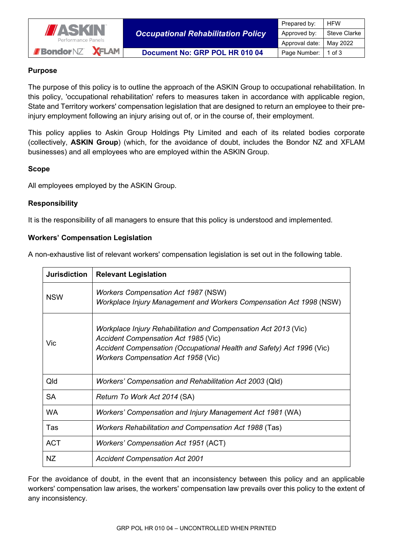

*Occupational Rehabilitation Policy*

# **Purpose**

The purpose of this policy is to outline the approach of the ASKIN Group to occupational rehabilitation. In this policy, 'occupational rehabilitation' refers to measures taken in accordance with applicable region, State and Territory workers' compensation legislation that are designed to return an employee to their preinjury employment following an injury arising out of, or in the course of, their employment.

This policy applies to Askin Group Holdings Pty Limited and each of its related bodies corporate (collectively, **ASKIN Group**) (which, for the avoidance of doubt, includes the Bondor NZ and XFLAM businesses) and all employees who are employed within the ASKIN Group.

## **Scope**

All employees employed by the ASKIN Group.

## **Responsibility**

It is the responsibility of all managers to ensure that this policy is understood and implemented.

## **Workers' Compensation Legislation**

A non-exhaustive list of relevant workers' compensation legislation is set out in the following table.

| <b>Jurisdiction</b> | <b>Relevant Legislation</b>                                                                                                                                                                                                    |
|---------------------|--------------------------------------------------------------------------------------------------------------------------------------------------------------------------------------------------------------------------------|
| <b>NSW</b>          | <b>Workers Compensation Act 1987 (NSW)</b><br><b>Workplace Injury Management and Workers Compensation Act 1998 (NSW)</b>                                                                                                       |
| Vic                 | Workplace Injury Rehabilitation and Compensation Act 2013 (Vic)<br>Accident Compensation Act 1985 (Vic)<br>Accident Compensation (Occupational Health and Safety) Act 1996 (Vic)<br><b>Workers Compensation Act 1958 (Vic)</b> |
| Qld                 | Workers' Compensation and Rehabilitation Act 2003 (Qld)                                                                                                                                                                        |
| <b>SA</b>           | Return To Work Act 2014 (SA)                                                                                                                                                                                                   |
| <b>WA</b>           | Workers' Compensation and Injury Management Act 1981 (WA)                                                                                                                                                                      |
| Tas                 | Workers Rehabilitation and Compensation Act 1988 (Tas)                                                                                                                                                                         |
| <b>ACT</b>          | <b>Workers' Compensation Act 1951 (ACT)</b>                                                                                                                                                                                    |
| NZ.                 | <b>Accident Compensation Act 2001</b>                                                                                                                                                                                          |

For the avoidance of doubt, in the event that an inconsistency between this policy and an applicable workers' compensation law arises, the workers' compensation law prevails over this policy to the extent of any inconsistency.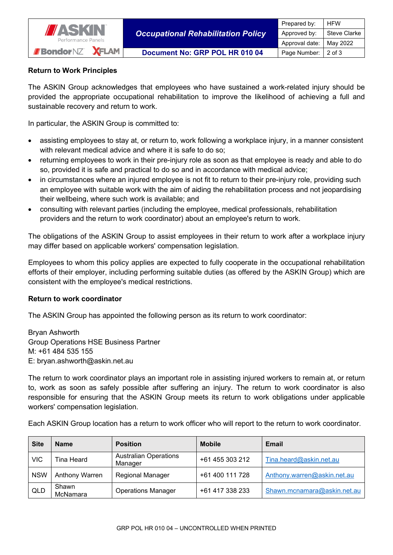

### **Return to Work Principles**

The ASKIN Group acknowledges that employees who have sustained a work-related injury should be provided the appropriate occupational rehabilitation to improve the likelihood of achieving a full and sustainable recovery and return to work.

In particular, the ASKIN Group is committed to:

- assisting employees to stay at, or return to, work following a workplace injury, in a manner consistent with relevant medical advice and where it is safe to do so;
- returning employees to work in their pre-injury role as soon as that employee is ready and able to do so, provided it is safe and practical to do so and in accordance with medical advice;
- in circumstances where an injured employee is not fit to return to their pre-injury role, providing such an employee with suitable work with the aim of aiding the rehabilitation process and not jeopardising their wellbeing, where such work is available; and
- consulting with relevant parties (including the employee, medical professionals, rehabilitation providers and the return to work coordinator) about an employee's return to work.

The obligations of the ASKIN Group to assist employees in their return to work after a workplace injury may differ based on applicable workers' compensation legislation.

Employees to whom this policy applies are expected to fully cooperate in the occupational rehabilitation efforts of their employer, including performing suitable duties (as offered by the ASKIN Group) which are consistent with the employee's medical restrictions.

#### **Return to work coordinator**

The ASKIN Group has appointed the following person as its return to work coordinator:

Bryan Ashworth Group Operations HSE Business Partner M: +61 484 535 155 E: bryan.ashworth@askin.net.au

The return to work coordinator plays an important role in assisting injured workers to remain at, or return to, work as soon as safely possible after suffering an injury. The return to work coordinator is also responsible for ensuring that the ASKIN Group meets its return to work obligations under applicable workers' compensation legislation.

Each ASKIN Group location has a return to work officer who will report to the return to work coordinator.

| <b>Site</b> | <b>Name</b>       | <b>Position</b>                         | <b>Mobile</b>   | Email                       |
|-------------|-------------------|-----------------------------------------|-----------------|-----------------------------|
| <b>VIC</b>  | Tina Heard        | <b>Australian Operations</b><br>Manager | +61 455 303 212 | Tina.heard@askin.net.au     |
| <b>NSW</b>  | Anthony Warren    | <b>Regional Manager</b>                 | +61 400 111 728 | Anthony.warren@askin.net.au |
| QLD         | Shawn<br>McNamara | <b>Operations Manager</b>               | +61 417 338 233 | Shawn.mcnamara@askin.net.au |